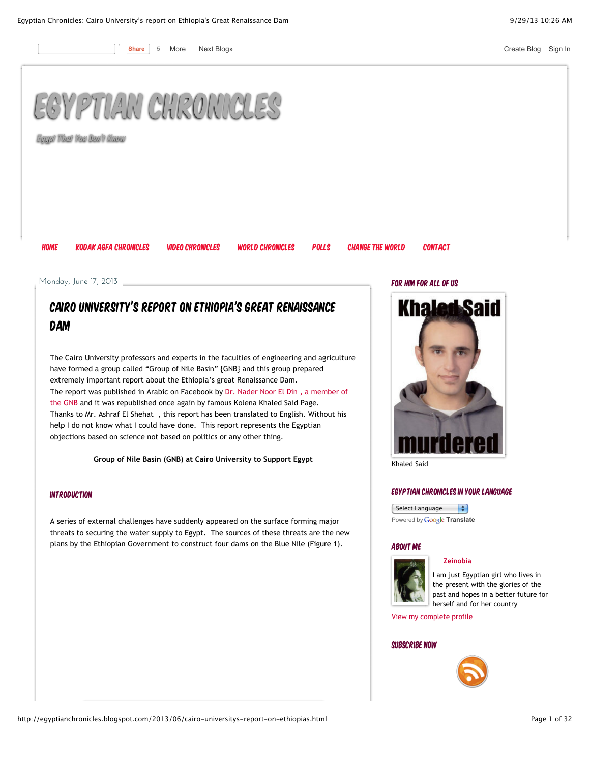



**Egypt That You Don't Know**

[Home](http://egyptianchronicles.blogspot.com/) Kodak Agfa [Chronicles](http://www.flickr.com/photos/96884693@N00/sets/) Video [Chronicles](http://www.youtube.com/user/zeinobia) World [Chronicles](http://egyptianchronicles.blogspot.com/p/world-chronicles.html) [Polls](http://egyptianchronicles.blogspot.com/p/polls.html) [Change](http://egyptianchronicles.blogspot.com/p/change-world.html) The World [Contact](http://egyptianchronicles.blogspot.com/p/contact.html)

For Him For All of Us

Monday, June 17, 2013

# Cairo University's report on Ethiopia's Great Renaissance Dam

The Cairo University professors and experts in the faculties of engineering and agriculture have formed a group called "Group of Nile Basin" {GNB} and this group prepared extremely important report about the Ethiopia's great Renaissance Dam. [The report was published in Arabic on Facebook by Dr. Nader Noor El Din , a member of](https://www.facebook.com/nader.noureldeen/posts/532150226848897) the GNB and it was republished once again by famous Kolena Khaled Said Page. Thanks to Mr. Ashraf El Shehat , this report has been translated to English. Without his help I do not know what I could have done. This report represents the Egyptian objections based on science not based on politics or any other thing.

**Group of Nile Basin (GNB) at Cairo University to Support Egypt**

## Introduction

A series of external challenges have suddenly appeared on the surface forming major threats to securing the water supply to Egypt. The sources of these threats are the new plans by the Ethiopian Government to construct four dams on the Blue Nile (Figure 1).

**Khaled Said** 

Khaled Said

## Egyptian Chronicles in Your Language

Select Language  $\left| \cdot \right|$ Powered by **Google [Translate](https://translate.google.com/)** 

#### About Me



**[Zeinobia](http://www.blogger.com/profile/12290387395565291310)**

I am just Egyptian girl who lives in the present with the glories of the past and hopes in a better future for herself and for her country

[View my complete profile](http://www.blogger.com/profile/12290387395565291310)

## SUBSCRIBE NOW

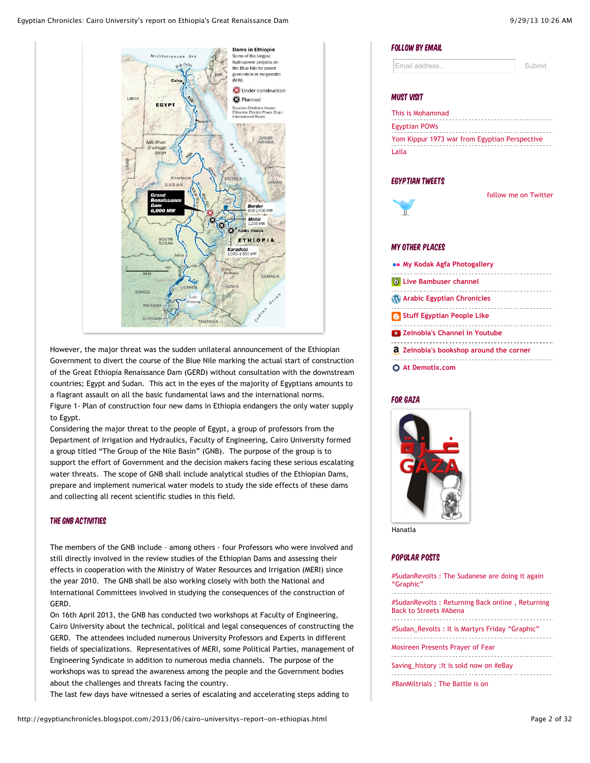

However, the major threat was the sudden unilateral announcement of the Ethiopian Government to divert the course of the Blue Nile marking the actual start of construction of the Great Ethiopia Renaissance Dam (GERD) without consultation with the downstream countries; Egypt and Sudan. This act in the eyes of the majority of Egyptians amounts to a flagrant assault on all the basic fundamental laws and the international norms. Figure 1- Plan of construction four new dams in Ethiopia endangers the only water supply to Egypt.

Considering the major threat to the people of Egypt, a group of professors from the Department of Irrigation and Hydraulics, Faculty of Engineering, Cairo University formed a group titled "The Group of the Nile Basin" (GNB). The purpose of the group is to support the effort of Government and the decision makers facing these serious escalating water threats. The scope of GNB shall include analytical studies of the Ethiopian Dams, prepare and implement numerical water models to study the side effects of these dams and collecting all recent scientific studies in this field.

# The GNB Activities

The members of the GNB include – among others - four Professors who were involved and still directly involved in the review studies of the Ethiopian Dams and assessing their effects in cooperation with the Ministry of Water Resources and Irrigation (MERI) since the year 2010. The GNB shall be also working closely with both the National and International Committees involved in studying the consequences of the construction of GERD.

On 16th April 2013, the GNB has conducted two workshops at Faculty of Engineering, Cairo University about the technical, political and legal consequences of constructing the GERD. The attendees included numerous University Professors and Experts in different fields of specializations. Representatives of MERI, some Political Parties, management of Engineering Syndicate in addition to numerous media channels. The purpose of the workshops was to spread the awareness among the people and the Government bodies about the challenges and threats facing the country.

The last few days have witnessed a series of escalating and accelerating steps adding to

| FOLLOW BY EMAIL                                                  |                      |
|------------------------------------------------------------------|----------------------|
| Email address                                                    | Submit               |
| MUST VISIT                                                       |                      |
| This is Mohammad                                                 |                      |
| Egyptian POWs<br>Egyptian POWs<br>All Dernertin MacDonald (1995) |                      |
| Yom Kippur 1973 war from Egyptian Perspective                    |                      |
| Laila                                                            |                      |
| EGYPTIAN TWEETS<br>π                                             | follow me on Twitter |
| MY OTHER PLACES                                                  |                      |
| My Kodak Agfa Photogallery                                       |                      |
| <b>b</b> Live Bambuser channel                                   |                      |
| Arabic Egyptian Chronicles                                       |                      |
| <b>B</b> Stuff Egyptian People Like                              |                      |
| 2 Zeinobia's Channel in Youtube                                  |                      |
| a Zeinobia's bookshop around the corner                          |                      |

**[At Demotix.com](http://www.demotix.com/node/4381)**

## For Gaza

 $\mathbf{I}$ 

 $\overline{t}$ 

Ó



Hanatla

#### Popular Posts

| #SudanRevolts: The Sudanese are doing it again<br>"Graphic"                        |
|------------------------------------------------------------------------------------|
| #SudanRevolts : Returning Back online , Returning<br><b>Back to Streets #Abena</b> |
| #Sudan Revolts : It is Martyrs Friday "Graphic"                                    |
| Mosireen Presents Prayer of Fear                                                   |
| Saving_history : It is sold now on #eBay                                           |
| #BanMiltrials : The Battle is on                                                   |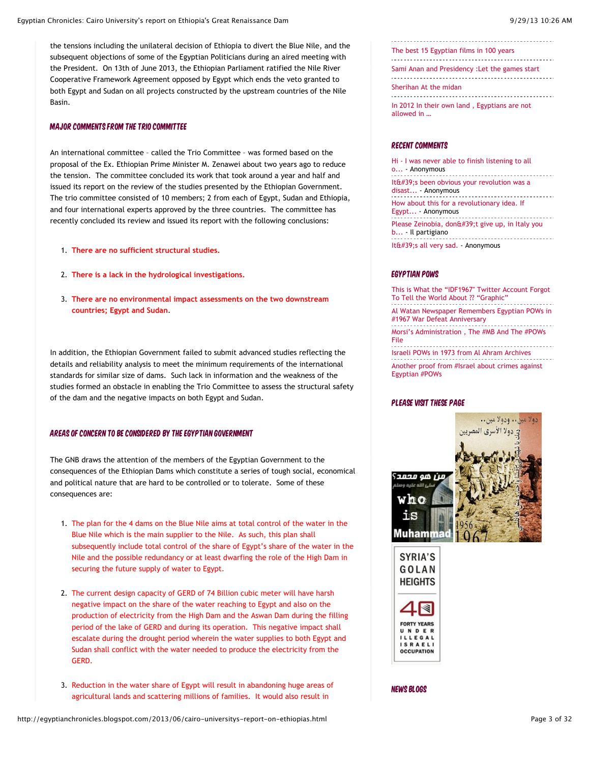the tensions including the unilateral decision of Ethiopia to divert the Blue Nile, and the subsequent objections of some of the Egyptian Politicians during an aired meeting with the President. On 13th of June 2013, the Ethiopian Parliament ratified the Nile River Cooperative Framework Agreement opposed by Egypt which ends the veto granted to both Egypt and Sudan on all projects constructed by the upstream countries of the Nile Basin.

#### Major Comments from the Trio Committee

An international committee – called the Trio Committee – was formed based on the proposal of the Ex. Ethiopian Prime Minister M. Zenawei about two years ago to reduce the tension. The committee concluded its work that took around a year and half and issued its report on the review of the studies presented by the Ethiopian Government. The trio committee consisted of 10 members; 2 from each of Egypt, Sudan and Ethiopia, and four international experts approved by the three countries. The committee has recently concluded its review and issued its report with the following conclusions:

- 1. **There are no sufficient structural studies.**
- 2. **There is a lack in the hydrological investigations.**
- 3. **There are no environmental impact assessments on the two downstream countries; Egypt and Sudan**.

In addition, the Ethiopian Government failed to submit advanced studies reflecting the details and reliability analysis to meet the minimum requirements of the international standards for similar size of dams. Such lack in information and the weakness of the studies formed an obstacle in enabling the Trio Committee to assess the structural safety of the dam and the negative impacts on both Egypt and Sudan.

### AREAS OF CONCERN TO BE CONSIDERED BY THE EGYPTIAN GOVERNMENT

The GNB draws the attention of the members of the Egyptian Government to the consequences of the Ethiopian Dams which constitute a series of tough social, economical and political nature that are hard to be controlled or to tolerate. Some of these consequences are:

- 1. The plan for the 4 dams on the Blue Nile aims at total control of the water in the Blue Nile which is the main supplier to the Nile. As such, this plan shall subsequently include total control of the share of Egypt's share of the water in the Nile and the possible redundancy or at least dwarfing the role of the High Dam in securing the future supply of water to Egypt.
- 2. The current design capacity of GERD of 74 Billion cubic meter will have harsh negative impact on the share of the water reaching to Egypt and also on the production of electricity from the High Dam and the Aswan Dam during the filling period of the lake of GERD and during its operation. This negative impact shall escalate during the drought period wherein the water supplies to both Egypt and Sudan shall conflict with the water needed to produce the electricity from the GERD.
- 3. Reduction in the water share of Egypt will result in abandoning huge areas of agricultural lands and scattering millions of families. It would also result in

[The best 15 Egyptian films in 100 years](http://egyptianchronicles.blogspot.com/2007/06/best-15-egyptian-films-in-100-years.html) . . . . . . . . . . . . . . ------------------------------------

[Sami Anan and Presidency :Let the games start](http://egyptianchronicles.blogspot.com/2013/09/sami-anan-and-presidency-let-games-start.html) 

[Sherihan At the midan](http://egyptianchronicles.blogspot.com/2011/02/sherihan-at-midan.html)

[In 2012 In their own land , Egyptians are not](http://egyptianchronicles.blogspot.com/2012/07/in-2012-in-their-own-land-egyptians-are.html) allowed in …

#### Recent comments

[Hi - I was never able to finish listening to all](http://egyptianchronicles.blogspot.com/2013/08/ramadan-arabian-nights-2013-tale-of_10.html?showComment=1380439514338#c8963453288985005718) o... - Anonymous ----------------------------------It $f$ #39; been obvious your revolution was a disast... - Anonymous [How about this for a revolutionary idea. If](http://egyptianchronicles.blogspot.com/2013/09/banmiltrials-battle-is-on.html?showComment=1380400111785#c5667220862991598582) Egypt... - Anonymous [Please Zeinobia, don't give up, in Italy you](http://egyptianchronicles.blogspot.com/2013/09/sudanrevolts-sudanese-are-doing-it.html?showComment=1380239941344#c3315917007721703426) b... - Il partigiano [It's all very sad.](http://egyptianchronicles.blogspot.com/2013/09/sudanrevolts-sudanese-are-doing-it.html?showComment=1380213840806#c7997178675545456541) - Anonymous

#### Egyptian POWs

This is What the "IDF1967" Twitter Account Forgot [To Tell the World About ?? "Graphic"](http://feedproxy.google.com/~r/EgyptianPows/~3/rNk0HmI7jNI/) [Al Watan Newspaper Remembers Egyptian POWs in](http://feedproxy.google.com/~r/EgyptianPows/~3/UkWNjLe1e6A/) #1967 War Defeat Anniversary [Morsi's Administration , The #MB And The #POWs](http://feedproxy.google.com/~r/EgyptianPows/~3/DI68CeYxtUg/) File ------------------------------------[Israeli POWs in 1973 from Al Ahram Archives](http://feedproxy.google.com/~r/EgyptianPows/~3/CSyobx_ePyM/) [Another proof from #Israel about crimes against](http://feedproxy.google.com/~r/EgyptianPows/~3/i5glabXYph8/) Egyptian #POWs

## Please visit these page





News Blogs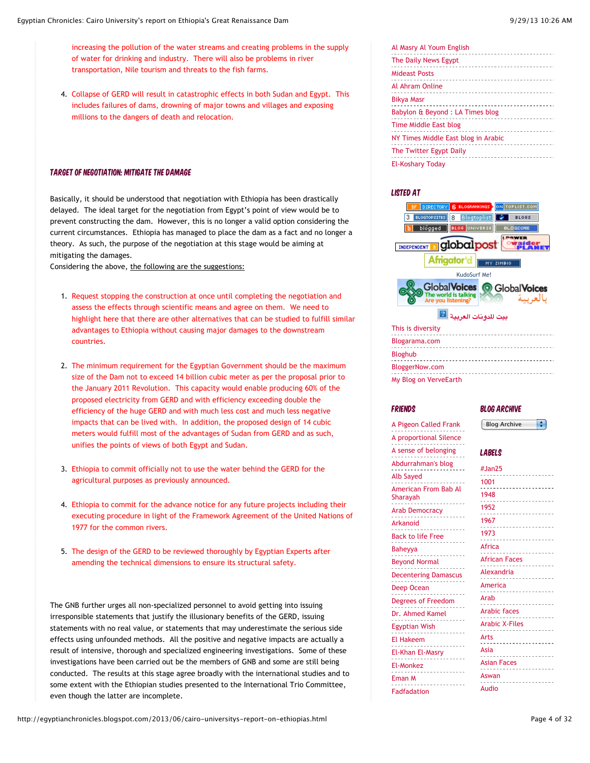increasing the pollution of the water streams and creating problems in the supply of water for drinking and industry. There will also be problems in river transportation, Nile tourism and threats to the fish farms.

4. Collapse of GERD will result in catastrophic effects in both Sudan and Egypt. This includes failures of dams, drowning of major towns and villages and exposing millions to the dangers of death and relocation.

#### Target of Negotiation: Mitigate the Damage

Basically, it should be understood that negotiation with Ethiopia has been drastically delayed. The ideal target for the negotiation from Egypt's point of view would be to prevent constructing the dam. However, this is no longer a valid option considering the current circumstances. Ethiopia has managed to place the dam as a fact and no longer a theory. As such, the purpose of the negotiation at this stage would be aiming at mitigating the damages.

Considering the above, the following are the suggestions:

- 1. Request stopping the construction at once until completing the negotiation and assess the effects through scientific means and agree on them. We need to highlight here that there are other alternatives that can be studied to fulfill similar advantages to Ethiopia without causing major damages to the downstream countries.
- 2. The minimum requirement for the Egyptian Government should be the maximum size of the Dam not to exceed 14 billion cubic meter as per the proposal prior to the January 2011 Revolution. This capacity would enable producing 60% of the proposed electricity from GERD and with efficiency exceeding double the efficiency of the huge GERD and with much less cost and much less negative impacts that can be lived with. In addition, the proposed design of 14 cubic meters would fulfill most of the advantages of Sudan from GERD and as such, unifies the points of views of both Egypt and Sudan.
- 3. Ethiopia to commit officially not to use the water behind the GERD for the agricultural purposes as previously announced.
- 4. Ethiopia to commit for the advance notice for any future projects including their executing procedure in light of the Framework Agreement of the United Nations of 1977 for the common rivers.
- 5. The design of the GERD to be reviewed thoroughly by Egyptian Experts after amending the technical dimensions to ensure its structural safety.

The GNB further urges all non-specialized personnel to avoid getting into issuing irresponsible statements that justify the illusionary benefits of the GERD, issuing statements with no real value, or statements that may underestimate the serious side effects using unfounded methods. All the positive and negative impacts are actually a result of intensive, thorough and specialized engineering investigations. Some of these investigations have been carried out be the members of GNB and some are still being conducted. The results at this stage agree broadly with the international studies and to some extent with the Ethiopian studies presented to the International Trio Committee, even though the latter are incomplete.

| Al Masry Al Youm English                         |
|--------------------------------------------------|
| The Daily News Egypt                             |
| <b>Mideast Posts</b>                             |
| Al Ahram Online                                  |
| <b>Bikya Masr</b><br>.                           |
| Babylon & Beyond : LA Times blog<br>.            |
| <b>Time Middle East blog</b>                     |
| NY Times Middle East blog in Arabic              |
| The Twitter Egypt Daily<br>_____________________ |
| <b>El-Koshary Today</b>                          |

#### Listed at

| ON TOPLIST.COM<br><b>DIRECTORY</b><br><b>BLOGRANKINGS</b><br>6.                           |
|-------------------------------------------------------------------------------------------|
| Blogtoplist<br><b>BLOGTOPSITES</b><br><b>BLOGS</b><br>8                                   |
| <b>BLOG</b> UNIVERSE<br>blogged<br>BLOGDIRE                                               |
| globalpost<br>INDEPENDENT                                                                 |
| Afrigator'd<br>MY ZIMBIO                                                                  |
| KudoSurf Me!                                                                              |
| <b>Global Voices</b><br><b>GlobalVoices</b><br>The world is talking<br>Are you listening? |
| بيت للدونات العريب                                                                        |
| This is diversity                                                                         |
| Blogarama.com                                                                             |
| <b>Bloghub</b>                                                                            |
| BloggerNow.com                                                                            |
| My Blog on VerveEarth                                                                     |

#### **FRIENDS**

[A Pigeon Called Frank](http://www.apigeoncalledfrank.com/) [A proportional Silence](http://houdounisbi.com/) [A sense of belonging](http://www.asenseofbelonging.wordpress.com/) [Abdurrahman's blog](http://egyptsguy.blogspot.com/) [Alb Sayed](http://albsayed.org/) [American From Bab Al](http://amreeka.blogspot.com/) Sharayah [Arab Democracy](http://www.arabdemocracy.com/) [Arkanoid](http://arkanoidlegent.blogspot.com/) [Back to life Free](http://freesoul83.blogspot.com/) [Baheyya](http://baheyya.blogspot.com/) [Beyond Normal](http://beyondnormal.blogspot.com/) [Decentering Damascus](http://ya-ashrafe-nnas.blogspot.com/) [Deep Ocean](http://deep-ocean.the-torches.com/) [Degrees of Freedom](http://fyireviews.blogspot.com/) [Dr. Ahmed Kamel](http://askamel.spaces.live.com/) [Egyptian Wish](http://egyptianwish.blogspot.com/) [El Hakeem](http://el7akeem.blogspot.com/) [El-Khan El-Masry](http://elkhan-elmasry.blogspot.com/) [El-Monkez](http://elmonkez.blogspot.com/) [Eman M](http://emanm.blogspot.com/) [Fadfadation](http://fadfadation.blogspot.com/)

#### Blog Archive

Blog Archive ÷

## Labels

| #Jan25                |
|-----------------------|
| 1001                  |
| 1948                  |
| 1952                  |
| 1967                  |
| 1973                  |
|                       |
| Africa                |
| <b>African Faces</b>  |
| Alexandria            |
| America               |
| Arab                  |
| <b>Arabic faces</b>   |
| <b>Arabic X-Files</b> |
| Arts                  |
| Asia                  |
|                       |
|                       |
| <b>Asian Faces</b>    |
| Aswan                 |